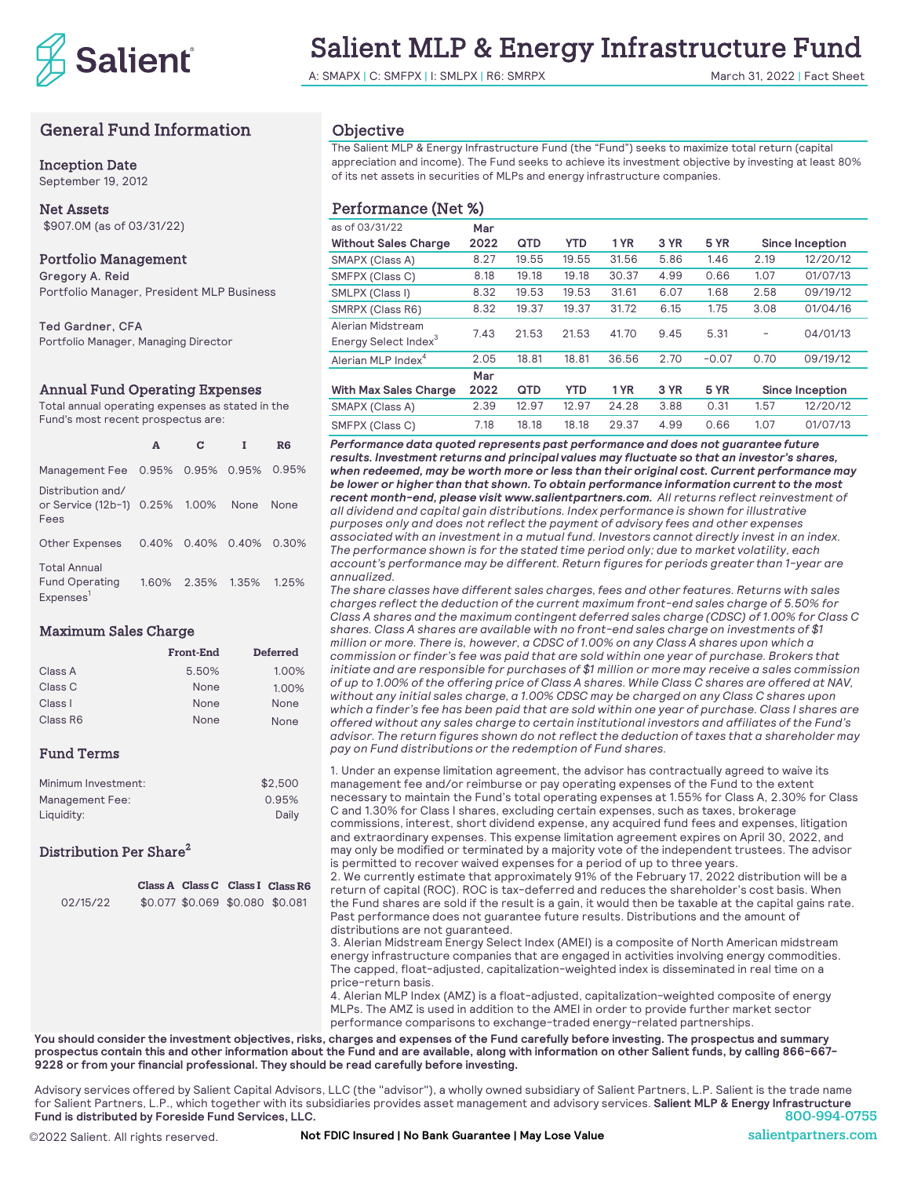

# Salient MLP & Energy Infrastructure Fund

A: SMAPX | C: SMFPX | I: SMLPX | R6: SMRPX March 31, 2022 | Fact Sheet

# General Fund Information

## Inception Date

September 19, 2012

# Net Assets \$907.0M (as of 03/31/22)

# Portfolio Management

Gregory A. Reid Portfolio Manager, President MLP Business

Ted Gardner, CFA Portfolio Manager, Managing Director

### Annual Fund Operating Expenses

Total annual operating expenses as stated in the Fund's most recent prospectus are:

|                                                                       | A     | c           |       | R6    |
|-----------------------------------------------------------------------|-------|-------------|-------|-------|
| Management Fee 0.95% 0.95% 0.95%                                      |       |             |       | 0.95% |
| Distribution and/<br>or Service (12b-1) 0.25% 1.00%<br>Fees           |       |             | None  | None  |
| <b>Other Expenses</b>                                                 | 0.40% | 0.40% 0.40% |       | 0.30% |
| <b>Total Annual</b><br><b>Fund Operating</b><br>Expenses <sup>1</sup> | 160%  | 2.35%       | 1.35% | 1.25% |

# Maximum Sales Charge

|          | <b>Front-End</b> | <b>Deferred</b> |
|----------|------------------|-----------------|
| Class A  | 5.50%            | 1.00%           |
| Class C  | None             | 1.00%           |
| Class I  | None             | None            |
| Class R6 | None             | None            |

# Fund Terms

| Minimum Investment: | \$2,500 |
|---------------------|---------|
| Management Fee:     | 0.95%   |
| Liauidity:          | Daily   |

# Distribution Per Share<sup>2</sup>

|          |                                 | Class A Class C Class I Class R6 |
|----------|---------------------------------|----------------------------------|
| 02/15/22 | \$0.077 \$0.069 \$0.080 \$0.081 |                                  |
|          |                                 |                                  |
|          |                                 |                                  |
|          |                                 |                                  |

# Objective

The Salient MLP & Energy Infrastructure Fund (the "Fund") seeks to maximize total return (capital appreciation and income). The Fund seeks to achieve its investment objective by investing at least 80% of its net assets in securities of MLPs and energy infrastructure companies.

# Performance (Net %)

| as of 03/31/22                                        | Mar  |       |            |       |      |             |      |                        |
|-------------------------------------------------------|------|-------|------------|-------|------|-------------|------|------------------------|
| <b>Without Sales Charge</b>                           | 2022 | QTD   | <b>YTD</b> | 1 YR  | 3 YR | <b>5 YR</b> |      | <b>Since Inception</b> |
| SMAPX (Class A)                                       | 8.27 | 19.55 | 19.55      | 31.56 | 5.86 | 1.46        | 2.19 | 12/20/12               |
| SMFPX (Class C)                                       | 8.18 | 19.18 | 19.18      | 30.37 | 4.99 | 0.66        | 1.07 | 01/07/13               |
| SMLPX (Class I)                                       | 8.32 | 19.53 | 19.53      | 31.61 | 6.07 | 1.68        | 2.58 | 09/19/12               |
| SMRPX (Class R6)                                      | 8.32 | 19.37 | 19.37      | 31.72 | 6.15 | 1.75        | 3.08 | 01/04/16               |
| Alerian Midstream<br>Energy Select Index <sup>3</sup> | 7.43 | 21.53 | 21.53      | 41.70 | 9.45 | 5.31        | -    | 04/01/13               |
| Alerian MLP Index <sup>4</sup>                        | 2.05 | 18.81 | 18.81      | 36.56 | 2.70 | $-0.07$     | 0.70 | 09/19/12               |
|                                                       | Mar  |       |            |       |      |             |      |                        |
| <b>With Max Sales Charge</b>                          | 2022 | QTD   | <b>YTD</b> | 1 YR  | 3 YR | 5 YR        |      | <b>Since Inception</b> |
| SMAPX (Class A)                                       | 2.39 | 12.97 | 12.97      | 24.28 | 3.88 | 0.31        | 1.57 | 12/20/12               |
| SMFPX (Class C)                                       | 7.18 | 18.18 | 18.18      | 29.37 | 4.99 | 0.66        | 1.07 | 01/07/13               |

*Performance data quoted represents past performance and does not guarantee future results. Investment returns and principal values may fluctuate so that an investor's shares, when redeemed, may be worth more or less than their original cost. Current performance may be lower or higher than that shown. To obtain performance information current to the most recent month-end, please visit www.salientpartners.com. All returns reflect reinvestment of all dividend and capital gain distributions. Index performance is shown for illustrative purposes only and does not reflect the payment of advisory fees and other expenses associated with an investment in a mutual fund. Investors cannot directly invest in an index. The performance shown is for the stated time period only; due to market volatility, each account's performance may be different. Return figures for periods greater than 1-year are annualized.*

*The share classes have different sales charges, fees and other features. Returns with sales charges reflect the deduction of the current maximum front-end sales charge of 5.50% for Class A shares and the maximum contingent deferred sales charge (CDSC) of 1.00% for Class C shares. Class A shares are available with no front-end sales charge on investments of \$1 million or more. There is, however, a CDSC of 1.00% on any Class A shares upon which a commission or finder's fee was paid that are sold within one year of purchase. Brokers that initiate and are responsible for purchases of \$1 million or more may receive a sales commission of up to 1.00% of the offering price of Class A shares. While Class C shares are offered at NAV, without any initial sales charge, a 1.00% CDSC may be charged on any Class C shares upon which a finder's fee has been paid that are sold within one year of purchase. Class I shares are offered without any sales charge to certain institutional investors and affiliates of the Fund's advisor. The return figures shown do not reflect the deduction of taxes that a shareholder may pay on Fund distributions or the redemption of Fund shares.*

1. Under an expense limitation agreement, the advisor has contractually agreed to waive its management fee and/or reimburse or pay operating expenses of the Fund to the extent necessary to maintain the Fund's total operating expenses at 1.55% for Class A, 2.30% for Class C and 1.30% for Class I shares, excluding certain expenses, such as taxes, brokerage commissions, interest, short dividend expense, any acquired fund fees and expenses, litigation and extraordinary expenses. This expense limitation agreement expires on April 30, 2022, and may only be modified or terminated by a majority vote of the independent trustees. The advisor is permitted to recover waived expenses for a period of up to three years.

2. We currently estimate that approximately 91% of the February 17, 2022 distribution will be a return of capital (ROC). ROC is tax-deferred and reduces the shareholder's cost basis. When the Fund shares are sold if the result is a gain, it would then be taxable at the capital gains rate. Past performance does not guarantee future results. Distributions and the amount of distributions are not guaranteed.

3. Alerian Midstream Energy Select Index (AMEI) is a composite of North American midstream energy infrastructure companies that are engaged in activities involving energy commodities. The capped, float-adjusted, capitalization-weighted index is disseminated in real time on a price-return basis.

4. Alerian MLP Index (AMZ) is a float-adjusted, capitalization-weighted composite of energy MLPs. The AMZ is used in addition to the AMEI in order to provide further market sector performance comparisons to exchange-traded energy-related partnerships.

**You should consider the investment objectives, risks, charges and expenses of the Fund carefully before investing. The prospectus and summary prospectus contain this and other information about the Fund and are available, along with information on other Salient funds, by calling 866-667- 9228 or from your financial professional. They should be read carefully before investing.**

Advisory services offered by Salient Capital Advisors, LLC (the "advisor"), a wholly owned subsidiary of Salient Partners, L.P. Salient is the trade name for Salient Partners, L.P., which together with its subsidiaries provides asset management and advisory services. **Salient MLP & Energy Infrastructure Fund is distributed by Foreside Fund Services, LLC.** 800-994-0755